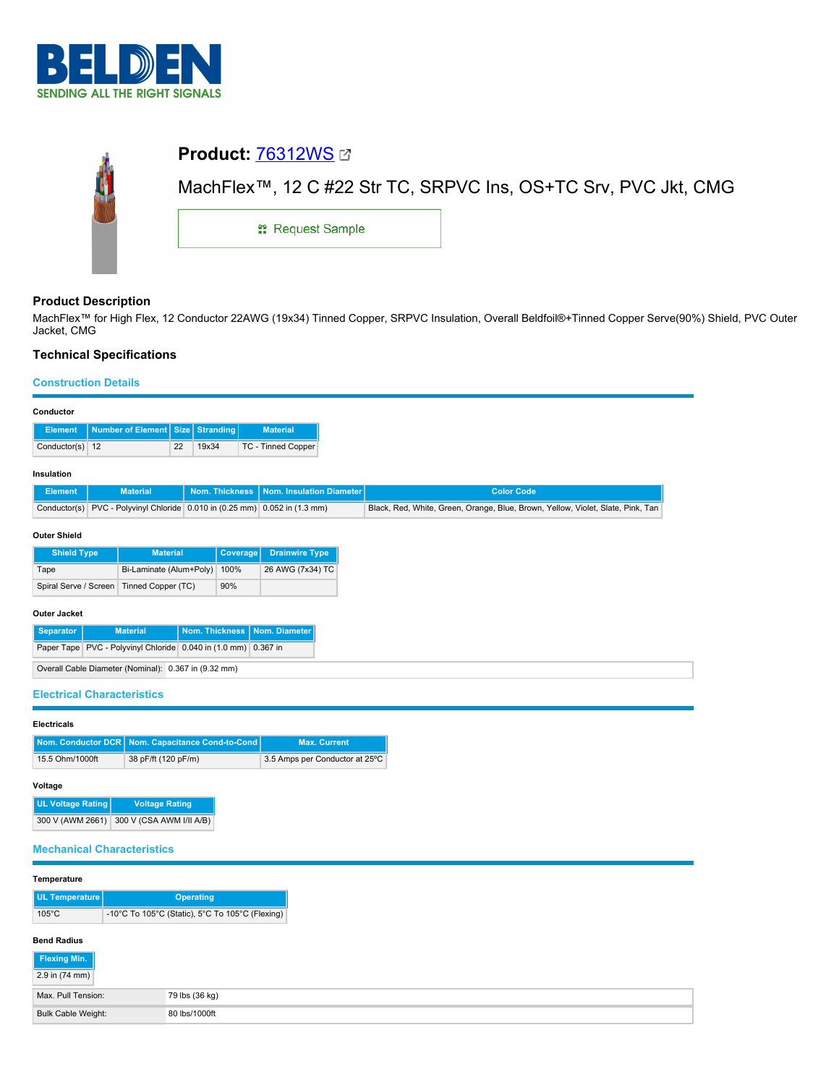

| <b>Product: 76312WS Ø</b>                                                   |  |  |  |  |  |  |
|-----------------------------------------------------------------------------|--|--|--|--|--|--|
| MachFlex <sup>™</sup> , 12 C #22 Str TC, SRPVC Ins, OS+TC Srv, PVC Jkt, CMG |  |  |  |  |  |  |
| <b># Request Sample</b>                                                     |  |  |  |  |  |  |
|                                                                             |  |  |  |  |  |  |

# **Product Description**

MachFlex™ for High Flex, 12 Conductor 22AWG (19x34) Tinned Copper, SRPVC Insulation, Overall Beldfoil®+Tinned Copper Serve(90%) Shield, PVC Outer Jacket, CMG

# **Technical Specifications**

## **Construction Details**

| Conductor                                 |                                                       |    |                |                 |                                                               |                                                                                 |                   |  |  |
|-------------------------------------------|-------------------------------------------------------|----|----------------|-----------------|---------------------------------------------------------------|---------------------------------------------------------------------------------|-------------------|--|--|
| <b>Element</b>                            | Number of Element   Size                              |    | Stranding      |                 | <b>Material</b>                                               |                                                                                 |                   |  |  |
| Conductor(s) 12                           |                                                       | 22 | 19x34          |                 | TC - Tinned Copper                                            |                                                                                 |                   |  |  |
| Insulation                                |                                                       |    |                |                 |                                                               |                                                                                 |                   |  |  |
| <b>Element</b>                            | <b>Material</b>                                       |    | Nom. Thickness |                 | Nom. Insulation Diameter                                      |                                                                                 | <b>Color Code</b> |  |  |
| Conductor(s)                              |                                                       |    |                |                 | PVC - Polyvinyl Chloride 0.010 in (0.25 mm) 0.052 in (1.3 mm) | Black, Red, White, Green, Orange, Blue, Brown, Yellow, Violet, Slate, Pink, Tan |                   |  |  |
| <b>Outer Shield</b><br><b>Shield Type</b> | <b>Material</b>                                       |    |                | <b>Coverage</b> | <b>Drainwire Type</b>                                         |                                                                                 |                   |  |  |
| Tape                                      | Bi-Laminate (Alum+Poly)                               |    |                | 100%            | 26 AWG (7x34) TC                                              |                                                                                 |                   |  |  |
| Spiral Serve / Screen                     | Tinned Copper (TC)                                    |    |                | 90%             |                                                               |                                                                                 |                   |  |  |
| <b>Outer Jacket</b>                       |                                                       |    |                |                 |                                                               |                                                                                 |                   |  |  |
| <b>Separator</b>                          | <b>Material</b>                                       |    | Nom. Thickness |                 | Nom. Diameter                                                 |                                                                                 |                   |  |  |
|                                           | Paper Tape PVC - Polyvinyl Chloride 0.040 in (1.0 mm) |    |                |                 | 0.367 in                                                      |                                                                                 |                   |  |  |
|                                           | Overall Cable Diameter (Nominal): 0.367 in (9.32 mm)  |    |                |                 |                                                               |                                                                                 |                   |  |  |
| <b>Electrical Characteristics</b>         |                                                       |    |                |                 |                                                               |                                                                                 |                   |  |  |

# **Electricals**

|                 | Nom. Conductor DCR   Nom. Capacitance Cond-to-Cond | <b>Max. Current</b>            |
|-----------------|----------------------------------------------------|--------------------------------|
| 15.5 Ohm/1000ft | 38 pF/ft (120 pF/m)                                | 3.5 Amps per Conductor at 25°C |

## **Voltage**

| <b>UL Voltage Rating</b> | <b>Voltage Rating</b>    |
|--------------------------|--------------------------|
| 300 V (AWM 2661)         | 300 V (CSA AWM I/II A/B) |

## **Mechanical Characteristics**

#### **Temperature**

| UL Temperature <sup>"</sup> | <b>Operating</b>                                |  |  |
|-----------------------------|-------------------------------------------------|--|--|
| $105^{\circ}$ C             | -10°C To 105°C (Static), 5°C To 105°C (Flexing) |  |  |

## **Bend Radius**

| Flexing Min.       |                |
|--------------------|----------------|
| $2.9$ in (74 mm)   |                |
| Max. Pull Tension: | 79 lbs (36 kg) |
| Bulk Cable Weight: | 80 lbs/1000ft  |